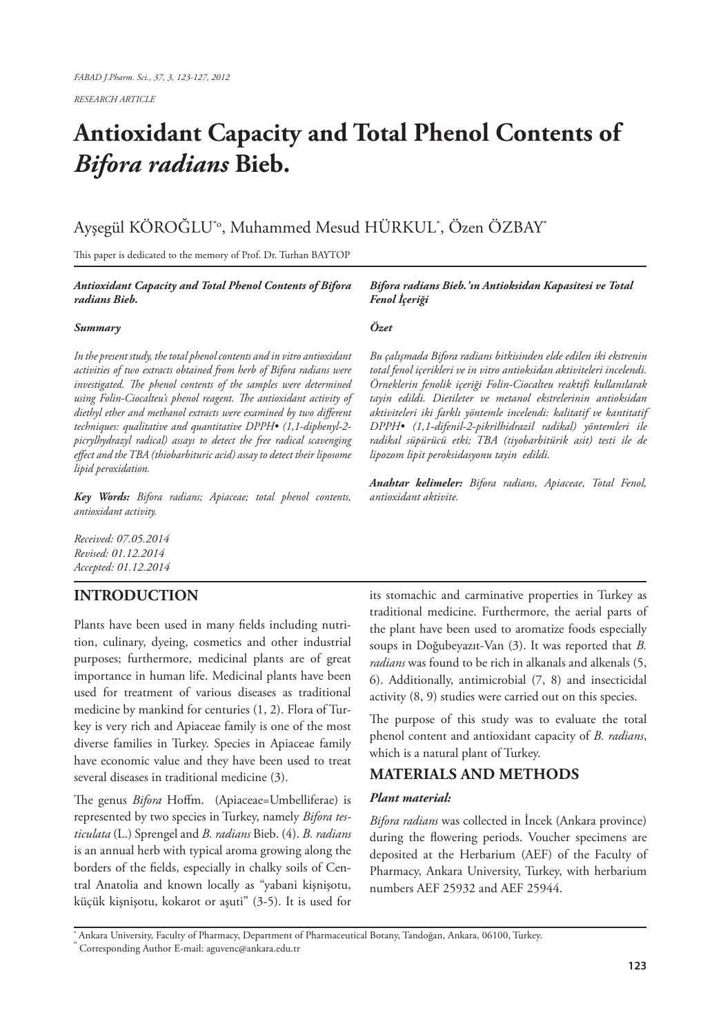*RESEARCH ARTICLE*

# **Antioxidant Capacity and Total Phenol Contents of**  *Bifora radians* **Bieb.**

## Ayşegül KÖROĞLU\*o, Muhammed Mesud HÜRKUL\* , Özen ÖZBAY\*

This paper is dedicated to the memory of Prof. Dr. Turhan BAYTOP

#### *Antioxidant Capacity and Total Phenol Contents of Bifora radians Bieb.*

#### *Summary*

*In the present study, the total phenol contents and in vitro antioxidant activities of two extracts obtained from herb of Bifora radians were investigated. The phenol contents of the samples were determined using Folin-Ciocalteu's phenol reagent. The antioxidant activity of diethyl ether and methanol extracts were examined by two different techniques: qualitative and quantitative DPPH• (1,1-diphenyl-2 picrylhydrazyl radical) assays to detect the free radical scavenging effect and the TBA (thiobarbituric acid) assay to detect their liposome lipid peroxidation.*

*Key Words: Bifora radians; Apiaceae; total phenol contents, antioxidant activity.*

*Received: 07.05.2014 Revised: 01.12.2014 Accepted: 01.12.2014*

## **INTRODUCTION**

Plants have been used in many fields including nutrition, culinary, dyeing, cosmetics and other industrial purposes; furthermore, medicinal plants are of great importance in human life. Medicinal plants have been used for treatment of various diseases as traditional medicine by mankind for centuries (1, 2). Flora of Turkey is very rich and Apiaceae family is one of the most diverse families in Turkey. Species in Apiaceae family have economic value and they have been used to treat several diseases in traditional medicine (3).

The genus *Bifora* Hoffm. (Apiaceae=Umbelliferae) is represented by two species in Turkey, namely *Bifora testiculata* (L.) Sprengel and *B. radians* Bieb. (4). *B. radians* is an annual herb with typical aroma growing along the borders of the fields, especially in chalky soils of Central Anatolia and known locally as "yabani kişnişotu, küçük kişnişotu, kokarot or aşuti" (3-5). It is used for

#### *Bifora radians Bieb.'ın Antioksidan Kapasitesi ve Total Fenol İçeriği*

#### *Özet*

*Bu çalışmada Bifora radians bitkisinden elde edilen iki ekstrenin total fenol içerikleri ve in vitro antioksidan aktiviteleri incelendi. Örneklerin fenolik içeriği Folin-Ciocalteu reaktifi kullanılarak tayin edildi. Dietileter ve metanol ekstrelerinin antioksidan aktiviteleri iki farklı yöntemle incelendi: kalitatif ve kantitatif DPPH• (1,1-difenil-2-pikrilhidrazil radikal) yöntemleri ile radikal süpürücü etki; TBA (tiyobarbitürik asit) testi ile de lipozom lipit peroksidasyonu tayin edildi.*

*Anahtar kelimeler: Bifora radians, Apiaceae, Total Fenol, antioxidant aktivite.*

its stomachic and carminative properties in Turkey as traditional medicine. Furthermore, the aerial parts of the plant have been used to aromatize foods especially soups in Doğubeyazıt-Van (3). It was reported that *B. radians* was found to be rich in alkanals and alkenals (5, 6). Additionally, antimicrobial (7, 8) and insecticidal activity (8, 9) studies were carried out on this species.

The purpose of this study was to evaluate the total phenol content and antioxidant capacity of *B. radians*, which is a natural plant of Turkey.

## **MATERIALS AND METHODS**

#### *Plant material:*

*Bifora radians* was collected in İncek (Ankara province) during the flowering periods. Voucher specimens are deposited at the Herbarium (AEF) of the Faculty of Pharmacy, Ankara University, Turkey, with herbarium numbers AEF 25932 and AEF 25944.

**\*** Ankara University, Faculty of Pharmacy, Department of Pharmaceutical Botany, Tandoğan, Ankara, 06100, Turkey. o

Corresponding Author E-mail: aguvenc@ankara.edu.tr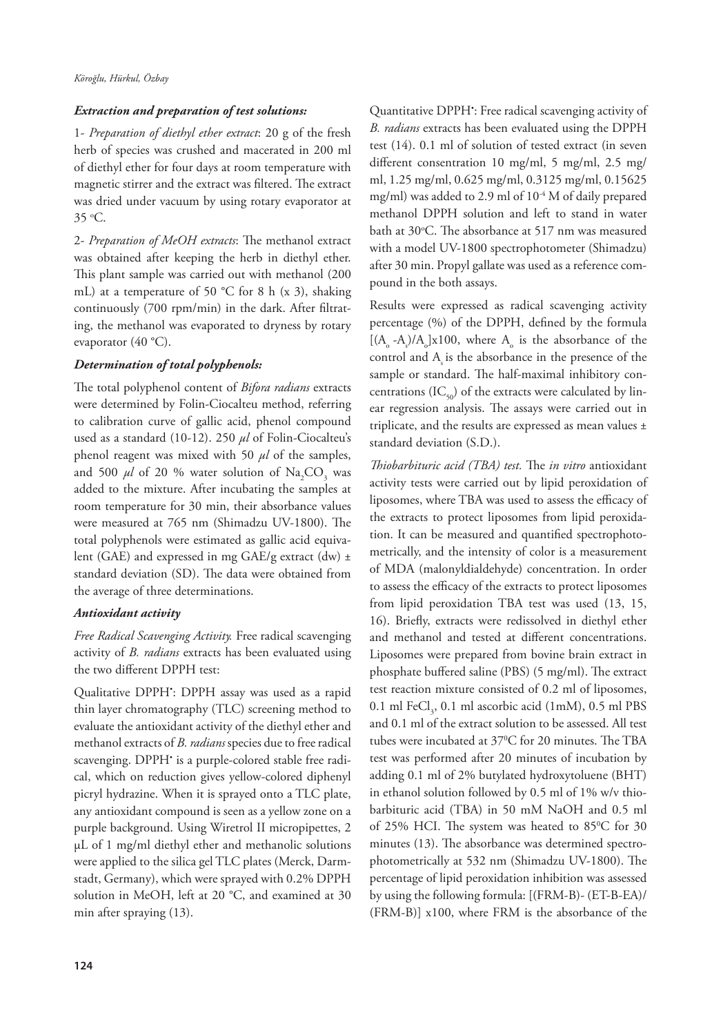#### *Extraction and preparation of test solutions:*

1- *Preparation of diethyl ether extract*: 20 g of the fresh herb of species was crushed and macerated in 200 ml of diethyl ether for four days at room temperature with magnetic stirrer and the extract was filtered. The extract was dried under vacuum by using rotary evaporator at 35 o C.

2- *Preparation of MeOH extracts*: The methanol extract was obtained after keeping the herb in diethyl ether. This plant sample was carried out with methanol (200 mL) at a temperature of 50 °C for 8 h (x 3), shaking continuously (700 rpm/min) in the dark. After filtrating, the methanol was evaporated to dryness by rotary evaporator (40 °C).

#### *Determination of total polyphenols:*

The total polyphenol content of *Bifora radians* extracts were determined by Folin-Ciocalteu method, referring to calibration curve of gallic acid, phenol compound used as a standard (10-12). 250 *μl* of Folin-Ciocalteu's phenol reagent was mixed with 50 *μl* of the samples, and 500  $\mu$ l of 20 % water solution of Na<sub>2</sub>CO<sub>3</sub> was added to the mixture. After incubating the samples at room temperature for 30 min, their absorbance values were measured at 765 nm (Shimadzu UV-1800). The total polyphenols were estimated as gallic acid equivalent (GAE) and expressed in mg GAE/g extract (dw) ± standard deviation (SD). The data were obtained from the average of three determinations.

#### *Antioxidant activity*

*Free Radical Scavenging Activity.* Free radical scavenging activity of *B. radians* extracts has been evaluated using the two different DPPH test:

Qualitative DPPH<sup>\*</sup>: DPPH assay was used as a rapid thin layer chromatography (TLC) screening method to evaluate the antioxidant activity of the diethyl ether and methanol extracts of *B. radians* species due to free radical scavenging. DPPH• is a purple-colored stable free radical, which on reduction gives yellow-colored diphenyl picryl hydrazine. When it is sprayed onto a TLC plate, any antioxidant compound is seen as a yellow zone on a purple background. Using Wiretrol II micropipettes, 2 µL of 1 mg/ml diethyl ether and methanolic solutions were applied to the silica gel TLC plates (Merck, Darmstadt, Germany), which were sprayed with 0.2% DPPH solution in MeOH, left at 20 °C, and examined at 30 min after spraying (13).

Quantitative DPPH• : Free radical scavenging activity of *B. radians* extracts has been evaluated using the DPPH test (14). 0.1 ml of solution of tested extract (in seven different consentration 10 mg/ml, 5 mg/ml, 2.5 mg/ ml, 1.25 mg/ml, 0.625 mg/ml, 0.3125 mg/ml, 0.15625 mg/ml) was added to 2.9 ml of 10-4 M of daily prepared methanol DPPH solution and left to stand in water bath at 30°C. The absorbance at 517 nm was measured with a model UV-1800 spectrophotometer (Shimadzu) after 30 min. Propyl gallate was used as a reference compound in the both assays.

Results were expressed as radical scavenging activity percentage (%) of the DPPH, defined by the formula [ $(A_0 - A_s)/A_0$ ]x100, where  $A_0$  is the absorbance of the control and  $A<sub>s</sub>$  is the absorbance in the presence of the sample or standard. The half-maximal inhibitory concentrations (IC $_{50}$ ) of the extracts were calculated by linear regression analysis. The assays were carried out in triplicate, and the results are expressed as mean values ± standard deviation (S.D.).

*Thiobarbituric acid (TBA) test.* The *in vitro* antioxidant activity tests were carried out by lipid peroxidation of liposomes, where TBA was used to assess the efficacy of the extracts to protect liposomes from lipid peroxidation. It can be measured and quantified spectrophotometrically, and the intensity of color is a measurement of MDA (malonyldialdehyde) concentration. In order to assess the efficacy of the extracts to protect liposomes from lipid peroxidation TBA test was used (13, 15, 16). Briefly, extracts were redissolved in diethyl ether and methanol and tested at different concentrations. Liposomes were prepared from bovine brain extract in phosphate buffered saline (PBS) (5 mg/ml). The extract test reaction mixture consisted of 0.2 ml of liposomes, 0.1 ml  $\text{FeCl}_3$ , 0.1 ml ascorbic acid (1mM), 0.5 ml PBS and 0.1 ml of the extract solution to be assessed. All test tubes were incubated at 370 C for 20 minutes. The TBA test was performed after 20 minutes of incubation by adding 0.1 ml of 2% butylated hydroxytoluene (BHT) in ethanol solution followed by 0.5 ml of 1% w/v thiobarbituric acid (TBA) in 50 mM NaOH and 0.5 ml of 25% HCI. The system was heated to 85°C for 30 minutes (13). The absorbance was determined spectrophotometrically at 532 nm (Shimadzu UV-1800). The percentage of lipid peroxidation inhibition was assessed by using the following formula: [(FRM-B)- (ET-B-EA)/ (FRM-B)] x100, where FRM is the absorbance of the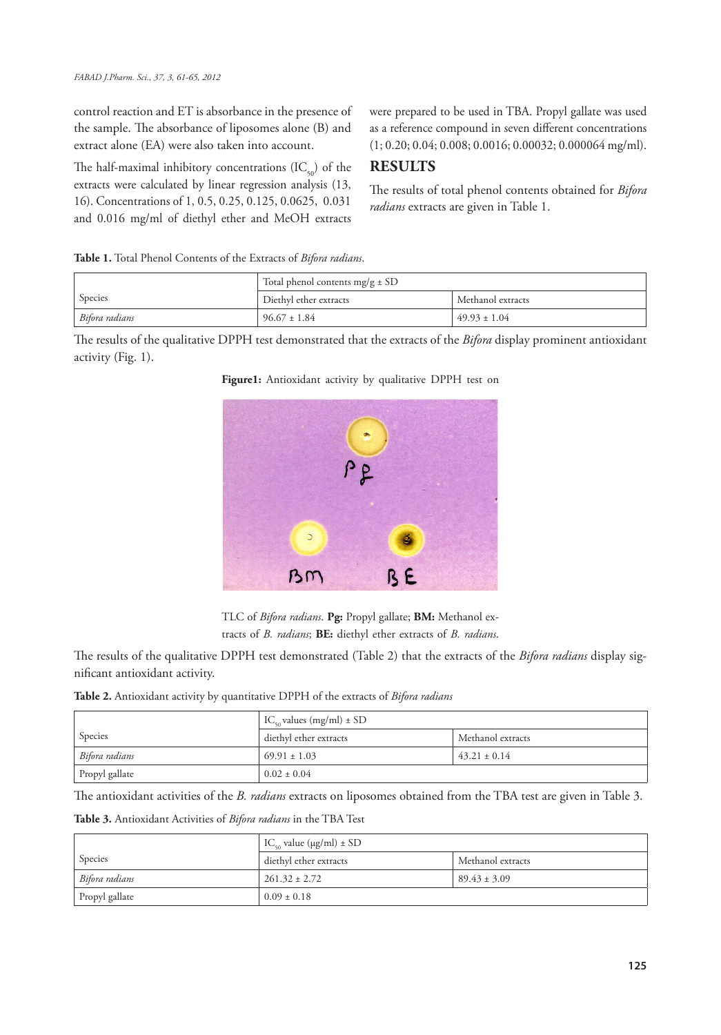control reaction and ET is absorbance in the presence of the sample. The absorbance of liposomes alone (B) and extract alone (EA) were also taken into account.

The half-maximal inhibitory concentrations  $(IC_{50})$  of the extracts were calculated by linear regression analysis (13, 16). Concentrations of 1, 0.5, 0.25, 0.125, 0.0625, 0.031 and 0.016 mg/ml of diethyl ether and MeOH extracts were prepared to be used in TBA. Propyl gallate was used as a reference compound in seven different concentrations (1; 0.20; 0.04; 0.008; 0.0016; 0.00032; 0.000064 mg/ml).

## **RESULTS**

The results of total phenol contents obtained for *Bifora radians* extracts are given in Table 1.

|                | Total phenol contents $mg/g \pm SD$ |                   |
|----------------|-------------------------------------|-------------------|
| Species        | Diethyl ether extracts              | Methanol extracts |
| Bifora radians | $96.67 \pm 1.84$                    | $49.93 + 1.04$    |

The results of the qualitative DPPH test demonstrated that the extracts of the *Bifora* display prominent antioxidant activity (Fig. 1).



**Figure1:** Antioxidant activity by qualitative DPPH test on

TLC of *Bifora radians*. **Pg:** Propyl gallate; **BM:** Methanol extracts of *B. radians*; **BE:** diethyl ether extracts of *B. radians*.

The results of the qualitative DPPH test demonstrated (Table 2) that the extracts of the *Bifora radians* display significant antioxidant activity.

**Table 2.** Antioxidant activity by quantitative DPPH of the extracts of *Bifora radians*

|                | $IC_{\epsilon_0}$ values (mg/ml) $\pm$ SD |                   |
|----------------|-------------------------------------------|-------------------|
| Species        | diethyl ether extracts                    | Methanol extracts |
| Bifora radians | $69.91 \pm 1.03$                          | $43.21 \pm 0.14$  |
| Propyl gallate | $0.02 \pm 0.04$                           |                   |

The antioxidant activities of the *B. radians* extracts on liposomes obtained from the TBA test are given in Table 3.

**Table 3.** Antioxidant Activities of *Bifora radians* in the TBA Test

|                | $IC_{so}$ value ( $\mu$ g/ml) ± SD |                   |
|----------------|------------------------------------|-------------------|
| Species        | diethyl ether extracts             | Methanol extracts |
| Bifora radians | $261.32 \pm 2.72$                  | $89.43 \pm 3.09$  |
| Propyl gallate | $0.09 \pm 0.18$                    |                   |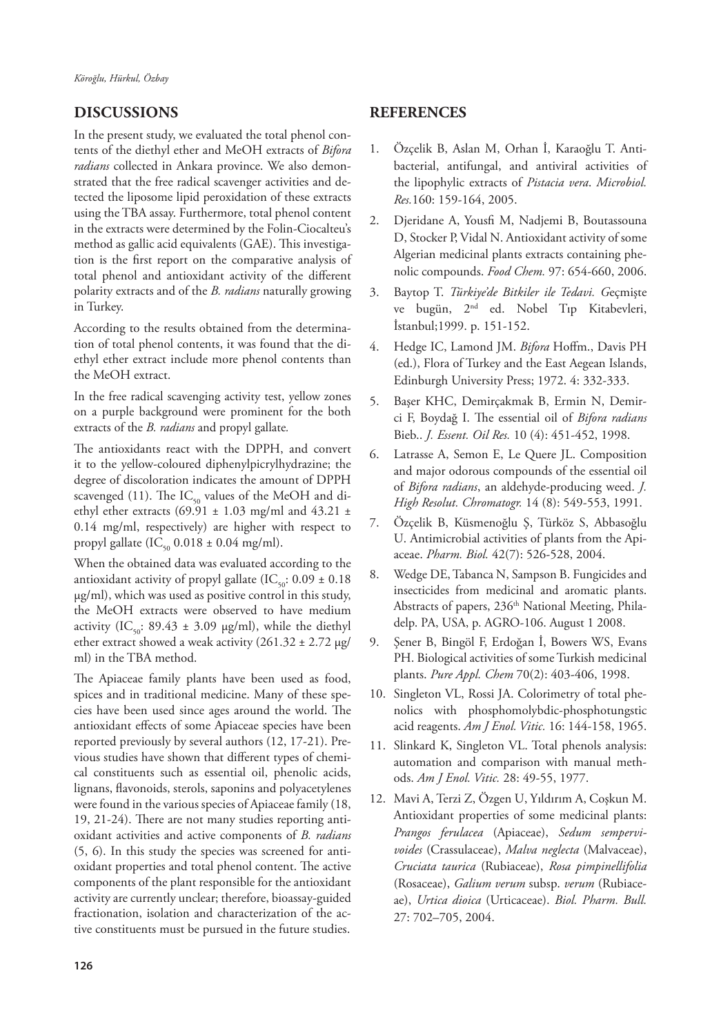## **DISCUSSIONS**

In the present study, we evaluated the total phenol contents of the diethyl ether and MeOH extracts of *Bifora radians* collected in Ankara province. We also demonstrated that the free radical scavenger activities and detected the liposome lipid peroxidation of these extracts using the TBA assay. Furthermore, total phenol content in the extracts were determined by the Folin-Ciocalteu's method as gallic acid equivalents (GAE). This investigation is the first report on the comparative analysis of total phenol and antioxidant activity of the different polarity extracts and of the *B. radians* naturally growing in Turkey.

According to the results obtained from the determination of total phenol contents, it was found that the diethyl ether extract include more phenol contents than the MeOH extract.

In the free radical scavenging activity test, yellow zones on a purple background were prominent for the both extracts of the *B. radians* and propyl gallate*.* 

The antioxidants react with the DPPH, and convert it to the yellow-coloured diphenylpicrylhydrazine; the degree of discoloration indicates the amount of DPPH scavenged (11). The  $IC_{50}$  values of the MeOH and diethyl ether extracts (69.91  $\pm$  1.03 mg/ml and 43.21  $\pm$ 0.14 mg/ml, respectively) are higher with respect to propyl gallate  $(IC_{50} 0.018 \pm 0.04$  mg/ml).

When the obtained data was evaluated according to the antioxidant activity of propyl gallate (IC<sub>50</sub>:  $0.09 \pm 0.18$ µg/ml), which was used as positive control in this study, the MeOH extracts were observed to have medium activity (IC<sub>50</sub>: 89.43 ± 3.09 µg/ml), while the diethyl ether extract showed a weak activity  $(261.32 \pm 2.72 \,\mu g$ / ml) in the TBA method.

The Apiaceae family plants have been used as food, spices and in traditional medicine. Many of these species have been used since ages around the world. The antioxidant effects of some Apiaceae species have been reported previously by several authors (12, 17-21). Previous studies have shown that different types of chemical constituents such as essential oil, phenolic acids, lignans, flavonoids, sterols, saponins and polyacetylenes were found in the various species of Apiaceae family (18, 19, 21-24). There are not many studies reporting antioxidant activities and active components of *B. radians* (5, 6). In this study the species was screened for antioxidant properties and total phenol content. The active components of the plant responsible for the antioxidant activity are currently unclear; therefore, bioassay-guided fractionation, isolation and characterization of the active constituents must be pursued in the future studies.

## **REFERENCES**

- 1. Özçelik B, Aslan M, Orhan İ, Karaoğlu T. Antibacterial, antifungal, and antiviral activities of the lipophylic extracts of *Pistacia vera*. *Microbiol. Res.*160: 159-164, 2005.
- 2. Djeridane A, Yousfi M, Nadjemi B, Boutassouna D, Stocker P, Vidal N. Antioxidant activity of some Algerian medicinal plants extracts containing phenolic compounds. *Food Chem.* 97: 654-660, 2006.
- 3. Baytop T. *Türkiye'de Bitkiler ile Tedavi. G*eçmişte ve bugün, 2<sup>nd</sup> ed. Nobel Tıp Kitabevleri, İstanbul;1999. p. 151-152.
- 4. Hedge IC, Lamond JM. *Bifora* Hoffm., Davis PH (ed.), Flora of Turkey and the East Aegean Islands, Edinburgh University Press; 1972. 4: 332-333.
- 5. Başer KHC, Demirçakmak B, Ermin N, Demirci F, Boydağ I. The essential oil of *Bifora radians* Bieb.. *J. Essent. Oil Res.* 10 (4): 451-452, 1998.
- 6. Latrasse A, Semon E, Le Quere JL. Composition and major odorous compounds of the essential oil of *Bifora radians*, an aldehyde-producing weed. *J. High Resolut. Chromatogr.* 14 (8): 549-553, 1991.
- 7. Özçelik B, Küsmenoğlu Ş, Türköz S, Abbasoğlu U. Antimicrobial activities of plants from the Apiaceae. *Pharm. Biol.* 42(7): 526-528, 2004.
- 8. Wedge DE, Tabanca N, Sampson B. Fungicides and insecticides from medicinal and aromatic plants. Abstracts of papers, 236<sup>th</sup> National Meeting, Philadelp. PA, USA, p. AGRO-106. August 1 2008.
- 9. Şener B, Bingöl F, Erdoğan İ, Bowers WS, Evans PH. Biological activities of some Turkish medicinal plants. *Pure Appl. Chem* 70(2): 403-406, 1998.
- 10. Singleton VL, Rossi JA. Colorimetry of total phenolics with phosphomolybdic-phosphotungstic acid reagents. *Am J Enol. Vitic.* 16: 144-158, 1965.
- 11. Slinkard K, Singleton VL. Total phenols analysis: automation and comparison with manual methods. *Am J Enol. Vitic.* 28: 49-55, 1977.
- 12. Mavi A, Terzi Z, Özgen U, Yıldırım A, Coşkun M. Antioxidant properties of some medicinal plants: *Prangos ferulacea* (Apiaceae), *Sedum sempervivoides* (Crassulaceae), *Malva neglecta* (Malvaceae), *Cruciata taurica* (Rubiaceae), *Rosa pimpinellifolia* (Rosaceae), *Galium verum* subsp. *verum* (Rubiaceae), *Urtica dioica* (Urticaceae). *Biol. Pharm. Bull.*  27: 702–705, 2004.